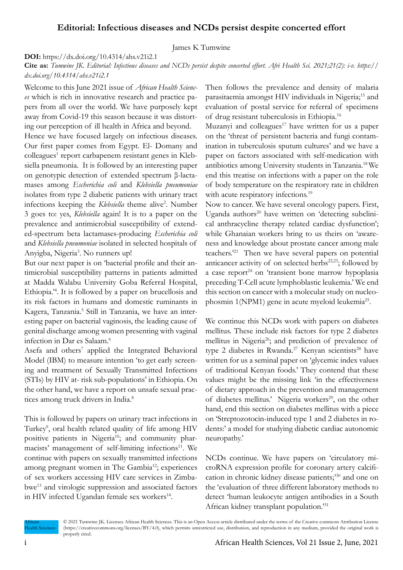## **Editorial: Infectious diseases and NCDs persist despite concerted effort**

James K Tumwine

**DOI:** https://dx.doi.org/10.4314/ahs.v21i2.1

**Cite as:** *Tumwine JK. Editorial: Infectious diseases and NCDs persist despite concerted effort. Afri Health Sci. 2021;21(2): i-v. https:// dx.doi.org/10.4314/ahs.v21i2.1*

Welcome to this June 2021 issue of *African Health Sciences* which is rich in innovative research and practice papers from all over the world. We have purposely kept away from Covid-19 this season because it was distorting our perception of ill health in Africa and beyond.

Hence we have focused largely on infectious diseases. Our first paper comes from Egypt. El- Domany and colleagues<sup>1</sup> report carbapenem resistant genes in Klebsiella pneumonia. It is followed by an interesting paper on genotypic detection of extended spectrum β-lactamases among *Escherichia coli* and *Klebsiella pneumoniae* isolates from type 2 diabetic patients with urinary tract infections keeping the *Klebsiella* theme alive<sup>2</sup>. Number 3 goes to: yes, *Klebsiella* again! It is to a paper on the prevalence and antimicrobial susceptibility of extended-spectrum beta lactamases-producing *Escherichia coli* and *Klebsiella pneumoniae* isolated in selected hospitals of Anyigba, Nigeria<sup>3</sup>. No runners up!

But our next paper is on 'bacterial profile and their antimicrobial susceptibility patterns in patients admitted at Madda Walabu University Goba Referral Hospital, Ethiopia.'<sup>4</sup> . It is followed by a paper on brucellosis and its risk factors in humans and domestic ruminants in Kagera, Tanzania.<sup>5</sup> Still in Tanzania, we have an interesting paper on bacterial vaginosis, the leading cause of genital discharge among women presenting with vaginal infection in Dar es Salaam.<sup>6</sup>

Asefa and others<sup>7</sup> applied the Integrated Behavioral Model (IBM) to measure intention 'to get early screening and treatment of Sexually Transmitted Infections (STIs) by HIV at- risk sub-populations' in Ethiopia. On the other hand, we have a report on unsafe sexual practices among truck drivers in India.<sup>8</sup>

This is followed by papers on urinary tract infections in Turkey<sup>9</sup>, oral health related quality of life among HIV positive patients in Nigeria<sup>10</sup>; and community pharmacists' management of self-limiting infections<sup>11</sup>. We continue with papers on sexually transmitted infections among pregnant women in The Gambia<sup>12</sup>; experiences of sex workers accessing HIV care services in Zimbabwe13 and virologic suppression and associated factors in HIV infected Ugandan female sex workers<sup>14</sup>.

Then follows the prevalence and density of malaria parasitaemia amongst HIV individuals in Nigeria;15 and evaluation of postal service for referral of specimens of drug resistant tuberculosis in Ethiopia.<sup>16</sup>

Muzanyi and colleagues<sup>17</sup> have written for us a paper on the 'threat of persistent bacteria and fungi contamination in tuberculosis sputum cultures' and we have a paper on factors associated with self-medication with antibiotics among University students in Tanzania.18 We end this treatise on infections with a paper on the role of body temperature on the respiratory rate in children with acute respiratory infections.<sup>19</sup>

Now to cancer. We have several oncology papers. First, Uganda authors<sup>20</sup> have written on 'detecting subclinical anthracycline therapy related cardiac dysfunction'; while Ghanaian workers bring to us theirs on 'awareness and knowledge about prostate cancer among male teachers.'21 Then we have several papers on potential anticancer activity of on selected herbs<sup>22,23</sup>; followed by a case report<sup>24</sup> on 'transient bone marrow hypoplasia preceding T-Cell acute lymphoblastic leukemia.' We end this section on cancer with a molecular study on nucleophosmin 1(NPM1) gene in acute myeloid leukemia<sup>25</sup>.

We continue this NCDs work with papers on diabetes mellitus. These include risk factors for type 2 diabetes mellitus in Nigeria<sup>26</sup>; and prediction of prevalence of type 2 diabetes in Rwanda.<sup>27</sup> Kenyan scientists<sup>28</sup> have written for us a seminal paper on 'glycemic index values of traditional Kenyan foods.' They contend that these values might be the missing link 'in the effectiveness of dietary approach in the prevention and management of diabetes mellitus.' Nigeria workers<sup>29</sup>, on the other hand, end this section on diabetes mellitus with a piece on 'Streptozotocin-induced type 1 and 2 diabetes in rodents:' a model for studying diabetic cardiac autonomic neuropathy.'

NCDs continue. We have papers on 'circulatory microRNA expression profile for coronary artery calcification in chronic kidney disease patients;'30 and one on the 'evaluation of three different laboratory methods to detect 'human leukocyte antigen antibodies in a South African kidney transplant population.'<sup>31</sup>

African Health Sciences © 2021 Tumwine JK. Licensee African Health Sciences. This is an Open Access article distributed under the terms of the Creative commons Attribution License (https://creativecommons.org/licenses/BY/4.0), which permits unrestricted use, distribution, and reproduction in any medium, provided the original work is properly cited.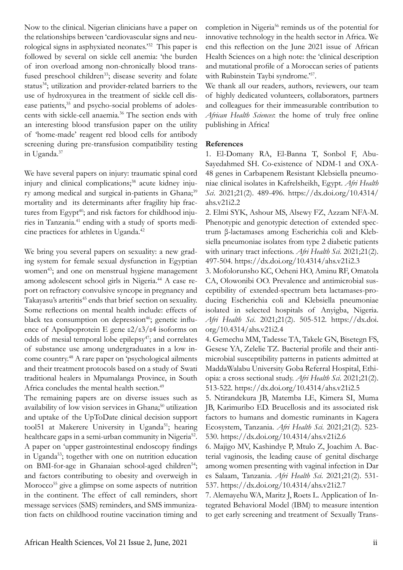Now to the clinical. Nigerian clinicians have a paper on the relationships between 'cardiovascular signs and neurological signs in asphyxiated neonates.'32 This paper is followed by several on sickle cell anemia: 'the burden of iron overload among non-chronically blood transfused preschool children<sup>33</sup>; disease severity and folate status<sup>34</sup>; utilization and provider-related barriers to the use of hydroxyurea in the treatment of sickle cell disease patients,<sup>35</sup> and psycho-social problems of adolescents with sickle-cell anaemia.36 The section ends with an interesting blood transfusion paper on the utility of 'home-made' reagent red blood cells for antibody screening during pre-transfusion compatibility testing in Uganda.<sup>37</sup>

We have several papers on injury: traumatic spinal cord injury and clinical complications;<sup>38</sup> acute kidney injury among medical and surgical in-patients in Ghana;<sup>39</sup> mortality and its determinants after fragility hip fractures from Egypt<sup>40</sup>; and risk factors for childhood injuries in Tanzania.41 ending with a study of sports medicine practices for athletes in Uganda.<sup>42</sup>

We bring you several papers on sexuality: a new grading system for female sexual dysfunction in Egyptian women<sup>43</sup>; and one on menstrual hygiene management among adolescent school girls in Nigeria.<sup>44</sup> A case report on refractory convulsive syncope in pregnancy and Takayasu's arteritis<sup>45</sup> ends that brief section on sexuality. Some reflections on mental health include: effects of black tea consumption on depression<sup>46</sup>; genetic influence of Apolipoprotein E gene ε2/ε3/ε4 isoforms on odds of mesial temporal lobe epilepsy<sup>47</sup>; and correlates of substance use among undergraduates in a low income country.48 A rare paper on 'psychological ailments and their treatment protocols based on a study of Swati traditional healers in Mpumalanga Province, in South Africa concludes the mental health section.<sup>49</sup>

The remaining papers are on diverse issues such as availability of low vision services in Ghana;<sup>50</sup> utilization and uptake of the UpToDate clinical decision support tool51 at Makerere University in Uganda<sup>51</sup>; hearing healthcare gaps in a semi-urban community in Nigeria<sup>52</sup>. A paper on 'upper gastrointestinal endoscopy findings in Uganda53; together with one on nutrition education on BMI-for-age in Ghanaian school-aged children<sup>54</sup>; and factors contributing to obesity and overweigh in Morocco<sup>55</sup> give a glimpse on some aspects of nutrition in the continent. The effect of call reminders, short message services (SMS) reminders, and SMS immunization facts on childhood routine vaccination timing and

completion in Nigeria<sup>56</sup> reminds us of the potential for innovative technology in the health sector in Africa. We end this reflection on the June 2021 issue of African Health Sciences on a high note: the 'clinical description and mutational profile of a Moroccan series of patients with Rubinstein Taybi syndrome.<sup>57</sup>.

We thank all our readers, authors, reviewers, our team of highly dedicated volunteers, collaborators, partners and colleagues for their immeasurable contribution to *African Health Sciences*: the home of truly free online publishing in Africa!

## **References**

1. El-Domany RA, El-Banna T, Sonbol F, Abu-Sayedahmed SH. Co-existence of NDM-1 and OXA-48 genes in Carbapenem Resistant Klebsiella pneumoniae clinical isolates in Kafrelsheikh, Egypt. *Afri Health Sci*. 2021;21(2). 489-496. https://dx.doi.org/10.4314/ ahs.v21i2.2

2. Elmi SYK, Ashour MS, Alsewy FZ, Azzam NFA-M. Phenotypic and genotypic detection of extended spectrum β-lactamases among Escherichia coli and Klebsiella pneumoniae isolates from type 2 diabetic patients with urinary tract infections. *Afri Health Sci*. 2021;21(2). 497-504. https://dx.doi.org/10.4314/ahs.v21i2.3

3. Mofolorunsho KC, Ocheni HO, Aminu RF, Omatola CA, Olowonibi OO. Prevalence and antimicrobial susceptibility of extended-spectrum beta lactamases-producing Escherichia coli and Klebsiella pneumoniae isolated in selected hospitals of Anyigba, Nigeria. *Afri Health Sci*. 2021;21(2). 505-512. https://dx.doi. org/10.4314/ahs.v21i2.4

4. Gemechu MM, Tadesse TA, Takele GN, Bisetegn FS, Gesese YA, Zelelie TZ. Bacterial profile and their antimicrobial susceptibility patterns in patients admitted at MaddaWalabu University Goba Referral Hospital, Ethiopia: a cross sectional study. *Afri Health Sci*. 2021;21(2). 513-522. https://dx.doi.org/10.4314/ahs.v21i2.5

5. Ntirandekura JB, Matemba LE, Kimera SI, Muma JB, Karimuribo ED. Brucellosis and its associated risk factors to humans and domestic ruminants in Kagera Ecosystem, Tanzania. *Afri Health Sci*. 2021;21(2). 523- 530. https://dx.doi.org/10.4314/ahs.v21i2.6

6. Majigo MV, Kashindye P, Mtulo Z, Joachim A. Bacterial vaginosis, the leading cause of genital discharge among women presenting with vaginal infection in Dar es Salaam, Tanzania. *Afri Health Sci*. 2021;21(2). 531- 537. https://dx.doi.org/10.4314/ahs.v21i2.7

7. Alemayehu WA, Maritz J, Roets L. Application of Integrated Behavioral Model (IBM) to measure intention to get early screening and treatment of Sexually Trans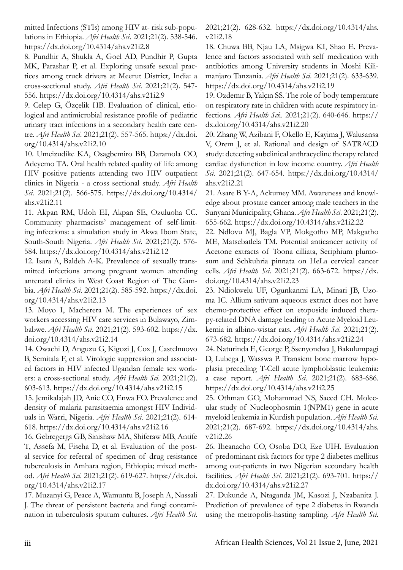mitted Infections (STIs) among HIV at- risk sub-populations in Ethiopia. *Afri Health Sci*. 2021;21(2). 538-546. https://dx.doi.org/10.4314/ahs.v21i2.8

8. Pundhir A, Shukla A, Goel AD, Pundhir P, Gupta MK, Parashar P, et al. Exploring unsafe sexual practices among truck drivers at Meerut District, India: a cross-sectional study. *Afri Health Sci*. 2021;21(2). 547- 556. https://dx.doi.org/10.4314/ahs.v21i2.9

9. Celep G, Özçelik HB. Evaluation of clinical, etiological and antimicrobial resistance profile of pediatric urinary tract infections in a secondary health care centre. *Afri Health Sci*. 2021;21(2). 557-565. https://dx.doi. org/10.4314/ahs.v21i2.10

10. Umeizudike KA, Osagbemiro BB, Daramola OO, Adeyemo TA. Oral health related quality of life among HIV positive patients attending two HIV outpatient clinics in Nigeria - a cross sectional study. *Afri Health Sci*. 2021;21(2). 566-575. https://dx.doi.org/10.4314/ ahs.v21i2.11

11. Akpan RM, Udoh EI, Akpan SE, Ozuluoha CC. Community pharmacists' management of self-limiting infections: a simulation study in Akwa Ibom State, South-South Nigeria. *Afri Health Sci*. 2021;21(2). 576- 584. https://dx.doi.org/10.4314/ahs.v21i2.12

12. Isara A, Baldeh A-K. Prevalence of sexually transmitted infections among pregnant women attending antenatal clinics in West Coast Region of The Gambia. *Afri Health Sci*. 2021;21(2). 585-592. https://dx.doi. org/10.4314/ahs.v21i2.13

13. Moyo I, Macherera M. The experiences of sex workers accessing HIV care services in Bulawayo, Zimbabwe. *Afri Health Sci*. 2021;21(2). 593-602. https://dx. doi.org/10.4314/ahs.v21i2.14

14. Owachi D, Anguzu G, Kigozi J, Cox J, Castelnuovo B, Semitala F, et al. Virologic suppression and associated factors in HIV infected Ugandan female sex workers: a cross-sectional study. *Afri Health Sci*. 2021;21(2). 603-613. https://dx.doi.org/10.4314/ahs.v21i2.15

15. Jemikalajah JD, Anie CO, Enwa FO. Prevalence and density of malaria parasitaemia amongst HIV Individuals in Warri, Nigeria. *Afri Health Sci*. 2021;21(2). 614- 618. https://dx.doi.org/10.4314/ahs.v21i2.16

16. Gebregergs GB, Sinishaw MA, Shiferaw MB, Antife T, Assefa M, Fiseha D, et al. Evaluation of the postal service for referral of specimen of drug resistance tuberculosis in Amhara region, Ethiopia; mixed method. *Afri Health Sci*. 2021;21(2). 619-627. https://dx.doi. org/10.4314/ahs.v21i2.17

17. Muzanyi G, Peace A, Wamuntu B, Joseph A, Nassali J. The threat of persistent bacteria and fungi contamination in tuberculosis sputum cultures. *Afri Health Sci*.

2021;21(2). 628-632. https://dx.doi.org/10.4314/ahs. v21i2.18

18. Chuwa BB, Njau LA, Msigwa KI, Shao E. Prevalence and factors associated with self medication with antibiotics among University students in Moshi Kilimanjaro Tanzania. *Afri Health Sci*. 2021;21(2). 633-639. https://dx.doi.org/10.4314/ahs.v21i2.19

19. Ozdemır B, Yalçın SS. The role of body temperature on respiratory rate in children with acute respiratory infections. *Afri Health Sci*i. 2021;21(2). 640-646. https:// dx.doi.org/10.4314/ahs.v21i2.20

20. Zhang W, Azibani F, Okello E, Kayima J, Walusansa V, Orem J, et al. Rational and design of SATRACD study: detecting subclinical anthracycline therapy related cardiac dysfunction in low income country. *Afri Health Sci*. 2021;21(2). 647-654. https://dx.doi.org/10.4314/ ahs.v21i2.21

21. Asare B Y-A, Ackumey MM. Awareness and knowledge about prostate cancer among male teachers in the Sunyani Municipality, Ghana. *Afri Health Sci*. 2021;21(2). 655-662. https://dx.doi.org/10.4314/ahs.v21i2.22

22. Ndlovu MJ, Bagla VP, Mokgotho MP, Makgatho ME, Matsebatlela TM. Potential anticancer activity of Acetone extracts of Toona cilliata, Seriphium plumosum and Schkuhria pinnata on HeLa cervical cancer cells. *Afri Health Sci*. 2021;21(2). 663-672. https://dx. doi.org/10.4314/ahs.v21i2.23

23. Ndiokwelu UF, Ogunkanmi LA, Minari JB, Uzoma IC. Allium sativum aqueous extract does not have chemo-protective effect on etoposide induced therapy-related DNA damage leading to Acute Myeloid Leukemia in albino-wistar rats. *Afri Health Sci*. 2021;21(2). 673-682. https://dx.doi.org/10.4314/ahs.v21i2.24

24. Naturinda E, George P, Ssenyondwa J, Bakulumpagi D, Lubega J, Wasswa P. Transient bone marrow hypoplasia preceding T-Cell acute lymphoblastic leukemia: a case report. *Afri Health Sci*. 2021;21(2). 683-686. https://dx.doi.org/10.4314/ahs.v21i2.25

25. Othman GO, Mohammad NS, Saeed CH. Molecular study of Nucleophosmin 1(NPM1) gene in acute myeloid leukemia in Kurdish population. *Afri Health Sci*. 2021;21(2). 687-692. https://dx.doi.org/10.4314/ahs. v21i2.26

26. Iheanacho CO, Osoba DO, Eze UIH. Evaluation of predominant risk factors for type 2 diabetes mellitus among out-patients in two Nigerian secondary health facilities. *Afri Health Sci*. 2021;21(2). 693-701. https:// dx.doi.org/10.4314/ahs.v21i2.27

27. Dukunde A, Ntaganda JM, Kasozi J, Nzabanita J. Prediction of prevalence of type 2 diabetes in Rwanda using the metropolis-hasting sampling. *Afri Health Sci*.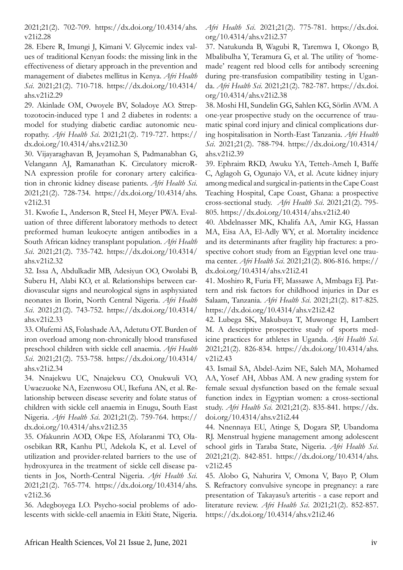2021;21(2). 702-709. https://dx.doi.org/10.4314/ahs. v21i2.28

28. Ebere R, Imungi J, Kimani V. Glycemic index values of traditional Kenyan foods: the missing link in the effectiveness of dietary approach in the prevention and management of diabetes mellitus in Kenya. *Afri Health Sci*. 2021;21(2). 710-718. https://dx.doi.org/10.4314/ ahs.v21i2.29

29. Akinlade OM, Owoyele BV, Soladoye AO. Streptozotocin-induced type 1 and 2 diabetes in rodents: a model for studying diabetic cardiac autonomic neuropathy. *Afri Health Sci*. 2021;21(2). 719-727. https:// dx.doi.org/10.4314/ahs.v21i2.30

30. Vijayaraghavan B, Jeyamohan S, Padmanabhan G, Velangann AJ, Ramanathan K. Circulatory microR-NA expression profile for coronary artery calcification in chronic kidney disease patients. *Afri Health Sci*. 2021;21(2). 728-734. https://dx.doi.org/10.4314/ahs. v21i2.31

31. Kwofie L, Anderson R, Steel H, Meyer PWA. Evaluation of three different laboratory methods to detect preformed human leukocyte antigen antibodies in a South African kidney transplant population. *Afri Health Sci*. 2021;21(2). 735-742. https://dx.doi.org/10.4314/ ahs.v21i2.32

32. Issa A, Abdulkadir MB, Adesiyun OO, Owolabi B, Suberu H, Alabi KO, et al. Relationships between cardiovascular signs and neurological signs in asphyxiated neonates in Ilorin, North Central Nigeria. *Afri Health Sci*. 2021;21(2). 743-752. https://dx.doi.org/10.4314/ ahs.v21i2.33

33. Olufemi AS, Folashade AA, Adetutu OT. Burden of iron overload among non-chronically blood transfused preschool children with sickle cell anaemia. *Afri Health Sci*. 2021;21(2). 753-758. https://dx.doi.org/10.4314/ ahs.v21i2.34

34. Nnajekwu UC, Nnajekwu CO, Onukwuli VO, Uwaezuoke NA, Ezenwosu OU, Ikefuna AN, et al. Relationship between disease severity and folate status of children with sickle cell anaemia in Enugu, South East Nigeria. *Afri Health Sci*. 2021;21(2). 759-764. https:// dx.doi.org/10.4314/ahs.v21i2.35

35. Ofakunrin AOD, Okpe ES, Afolaranmi TO, Olaosebikan RR, Kanhu PU, Adekola K, et al. Level of utilization and provider-related barriers to the use of hydroxyurea in the treatment of sickle cell disease patients in Jos, North-Central Nigeria. *Afri Health Sci*. 2021;21(2). 765-774. https://dx.doi.org/10.4314/ahs. v21i2.36

36. Adegboyega LO. Psycho-social problems of adolescents with sickle-cell anaemia in Ekiti State, Nigeria. *Afri Health Sci*. 2021;21(2). 775-781. https://dx.doi. org/10.4314/ahs.v21i2.37

37. Natukunda B, Wagubi R, Taremwa I, Okongo B, Mbalibulha Y, Teramura G, et al. The utility of 'homemade' reagent red blood cells for antibody screening during pre-transfusion compatibility testing in Uganda. *Afri Health Sci*. 2021;21(2). 782-787. https://dx.doi. org/10.4314/ahs.v21i2.38

38. Moshi HI, Sundelin GG, Sahlen KG, Sörlin AVM. A one-year prospective study on the occurrence of traumatic spinal cord injury and clinical complications during hospitalisation in North-East Tanzania. *Afri Health Sci*. 2021;21(2). 788-794. https://dx.doi.org/10.4314/ ahs.v21i2.39

39. Ephraim RKD, Awuku YA, Tetteh-Ameh I, Baffe C, Aglagoh G, Ogunajo VA, et al. Acute kidney injury among medical and surgical in-patients in the Cape Coast Teaching Hospital, Cape Coast, Ghana: a prospective cross-sectional study. *Afri Health Sci*. 2021;21(2). 795- 805. https://dx.doi.org/10.4314/ahs.v21i2.40

40. Abdelnasser MK, Khalifa AA, Amir KG, Hassan MA, Eisa AA, El-Adly WY, et al. Mortality incidence and its determinants after fragility hip fractures: a prospective cohort study from an Egyptian level one trauma center. *Afri Health Sci*. 2021;21(2). 806-816. https:// dx.doi.org/10.4314/ahs.v21i2.41

41. Moshiro R, Furia FF, Massawe A, Mmbaga EJ. Pattern and risk factors for childhood injuries in Dar es Salaam, Tanzania. *Afri Health Sci*. 2021;21(2). 817-825. https://dx.doi.org/10.4314/ahs.v21i2.42

42. Lubega SK, Makubuya T, Muwonge H, Lambert M. A descriptive prospective study of sports medicine practices for athletes in Uganda. *Afri Health Sci*. 2021;21(2). 826-834. https://dx.doi.org/10.4314/ahs. v21i2.43

43. Ismail SA, Abdel-Azim NE, Saleh MA, Mohamed AA, Yosef AH, Abbas AM. A new grading system for female sexual dysfunction based on the female sexual function index in Egyptian women: a cross-sectional study. *Afri Health Sci*. 2021;21(2). 835-841. https://dx. doi.org/10.4314/ahs.v21i2.44

44. Nnennaya EU, Atinge S, Dogara SP, Ubandoma RJ. Menstrual hygiene management among adolescent school girls in Taraba State, Nigeria. *Afri Health Sci*. 2021;21(2). 842-851. https://dx.doi.org/10.4314/ahs. v21i2.45

45. Alobo G, Nahurira V, Omona V, Bayo P, Olum S. Refractory convulsive syncope in pregnancy: a rare presentation of Takayasu's arteritis - a case report and literature review. *Afri Health Sci*. 2021;21(2). 852-857. https://dx.doi.org/10.4314/ahs.v21i2.46